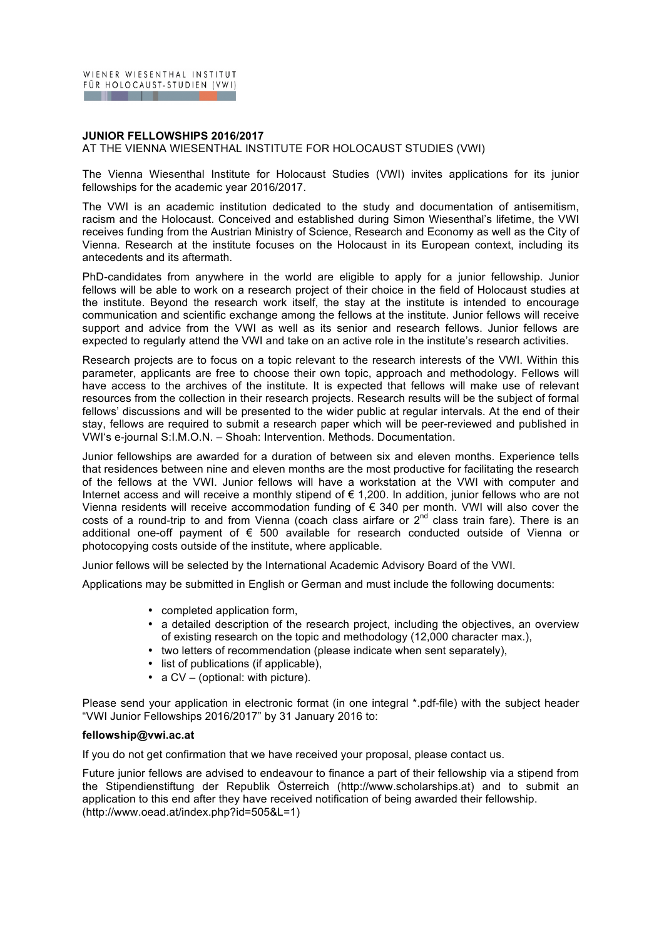## **JUNIOR FELLOWSHIPS 2016/2017**

AT THE VIENNA WIESENTHAL INSTITUTE FOR HOLOCAUST STUDIES (VWI)

The Vienna Wiesenthal Institute for Holocaust Studies (VWI) invites applications for its junior fellowships for the academic year 2016/2017.

The VWI is an academic institution dedicated to the study and documentation of antisemitism, racism and the Holocaust. Conceived and established during Simon Wiesenthal's lifetime, the VWI receives funding from the Austrian Ministry of Science, Research and Economy as well as the City of Vienna. Research at the institute focuses on the Holocaust in its European context, including its antecedents and its aftermath.

PhD-candidates from anywhere in the world are eligible to apply for a junior fellowship. Junior fellows will be able to work on a research project of their choice in the field of Holocaust studies at the institute. Beyond the research work itself, the stay at the institute is intended to encourage communication and scientific exchange among the fellows at the institute. Junior fellows will receive support and advice from the VWI as well as its senior and research fellows. Junior fellows are expected to regularly attend the VWI and take on an active role in the institute's research activities.

Research projects are to focus on a topic relevant to the research interests of the VWI. Within this parameter, applicants are free to choose their own topic, approach and methodology. Fellows will have access to the archives of the institute. It is expected that fellows will make use of relevant resources from the collection in their research projects. Research results will be the subject of formal fellows' discussions and will be presented to the wider public at regular intervals. At the end of their stay, fellows are required to submit a research paper which will be peer-reviewed and published in VWI's e-journal S:I.M.O.N. – Shoah: Intervention. Methods. Documentation.

Junior fellowships are awarded for a duration of between six and eleven months. Experience tells that residences between nine and eleven months are the most productive for facilitating the research of the fellows at the VWI. Junior fellows will have a workstation at the VWI with computer and Internet access and will receive a monthly stipend of € 1,200. In addition, junior fellows who are not Vienna residents will receive accommodation funding of  $\epsilon$  340 per month. VWI will also cover the costs of a round-trip to and from Vienna (coach class airfare or 2<sup>nd</sup> class train fare). There is an additional one-off payment of € 500 available for research conducted outside of Vienna or photocopying costs outside of the institute, where applicable.

Junior fellows will be selected by the International Academic Advisory Board of the VWI.

Applications may be submitted in English or German and must include the following documents:

- completed application form,
- a detailed description of the research project, including the objectives, an overview of existing research on the topic and methodology (12,000 character max.),
- two letters of recommendation (please indicate when sent separately),
- list of publications (if applicable),
- a CV (optional: with picture).

Please send your application in electronic format (in one integral \*.pdf-file) with the subject header "VWI Junior Fellowships 2016/2017" by 31 January 2016 to:

## **fellowship@vwi.ac.at**

If you do not get confirmation that we have received your proposal, please contact us.

Future junior fellows are advised to endeavour to finance a part of their fellowship via a stipend from the Stipendienstiftung der Republik Österreich (http://www.scholarships.at) and to submit an application to this end after they have received notification of being awarded their fellowship. (http://www.oead.at/index.php?id=505&L=1)